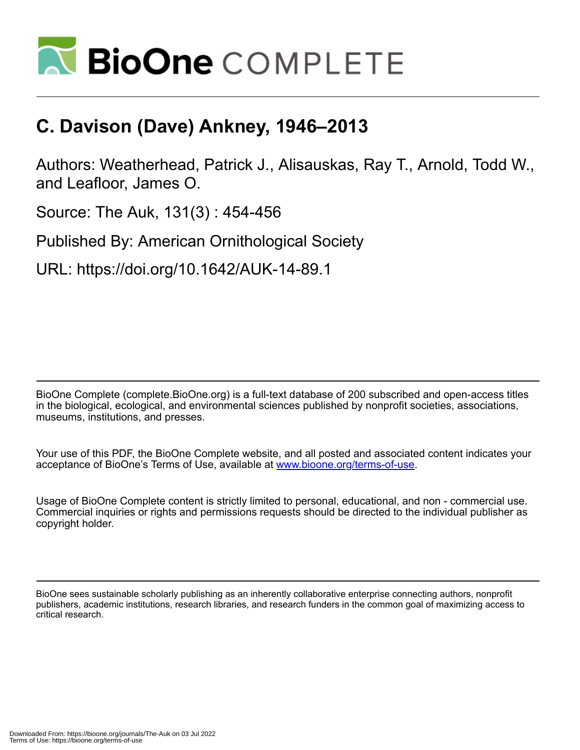

## **C. Davison (Dave) Ankney, 1946–2013**

Authors: Weatherhead, Patrick J., Alisauskas, Ray T., Arnold, Todd W., and Leafloor, James O.

Source: The Auk, 131(3) : 454-456

Published By: American Ornithological Society

URL: https://doi.org/10.1642/AUK-14-89.1

BioOne Complete (complete.BioOne.org) is a full-text database of 200 subscribed and open-access titles in the biological, ecological, and environmental sciences published by nonprofit societies, associations, museums, institutions, and presses.

Your use of this PDF, the BioOne Complete website, and all posted and associated content indicates your acceptance of BioOne's Terms of Use, available at www.bioone.org/terms-of-use.

Usage of BioOne Complete content is strictly limited to personal, educational, and non - commercial use. Commercial inquiries or rights and permissions requests should be directed to the individual publisher as copyright holder.

BioOne sees sustainable scholarly publishing as an inherently collaborative enterprise connecting authors, nonprofit publishers, academic institutions, research libraries, and research funders in the common goal of maximizing access to critical research.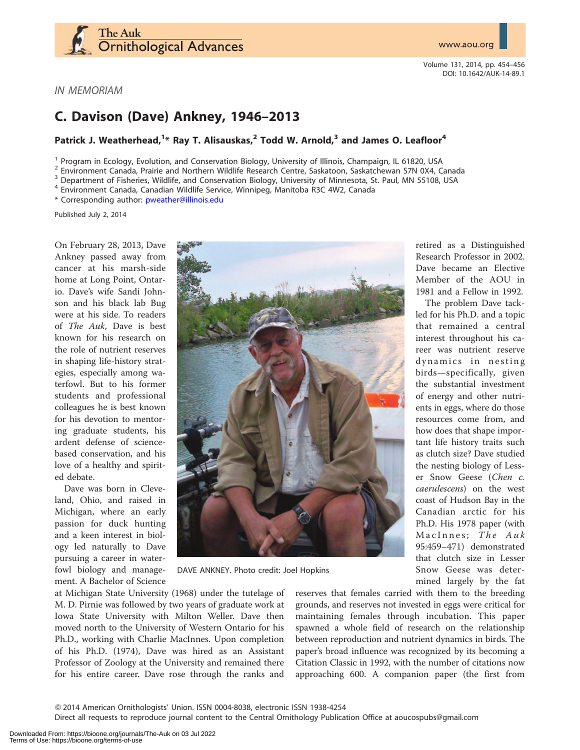

Volume 131, 2014, pp. 454–456 DOI: 10.1642/AUK-14-89.1

IN MEMORIAM

## C. Davison (Dave) Ankney, 1946–2013

## Patrick J. Weatherhead,  $^{1*}$  Ray T. Alisauskas,  $^2$  Todd W. Arnold,  $^3$  and James O. Leafloor $^4$

<sup>1</sup> Program in Ecology, Evolution, and Conservation Biology, University of Illinois, Champaign, IL 61820, USA<br>
<sup>2</sup> Environment Canada, Prairie and Northern Wildlife Research Centre, Saskatoon, Saskatchewan S7N 0X4, Canada

\* Corresponding author: [pweather@illinois.edu](mailto:pweather@illinois.edu)

Published July 2, 2014

On February 28, 2013, Dave Ankney passed away from cancer at his marsh-side home at Long Point, Ontario. Dave's wife Sandi Johnson and his black lab Bug were at his side. To readers of The Auk, Dave is best known for his research on the role of nutrient reserves in shaping life-history strategies, especially among waterfowl. But to his former students and professional colleagues he is best known for his devotion to mentoring graduate students, his ardent defense of sciencebased conservation, and his love of a healthy and spirited debate.

Dave was born in Cleveland, Ohio, and raised in Michigan, where an early passion for duck hunting and a keen interest in biology led naturally to Dave pursuing a career in waterfowl biology and management. A Bachelor of Science



DAVE ANKNEY. Photo credit: Joel Hopkins

at Michigan State University (1968) under the tutelage of M. D. Pirnie was followed by two years of graduate work at Iowa State University with Milton Weller. Dave then moved north to the University of Western Ontario for his Ph.D., working with Charlie MacInnes. Upon completion of his Ph.D. (1974), Dave was hired as an Assistant Professor of Zoology at the University and remained there for his entire career. Dave rose through the ranks and

reserves that females carried with them to the breeding grounds, and reserves not invested in eggs were critical for maintaining females through incubation. This paper spawned a whole field of research on the relationship between reproduction and nutrient dynamics in birds. The paper's broad influence was recognized by its becoming a Citation Classic in 1992, with the number of citations now approaching 600. A companion paper (the first from

Q 2014 American Ornithologists' Union. ISSN 0004-8038, electronic ISSN 1938-4254

Direct all requests to reproduce journal content to the Central Ornithology Publication Office at aoucospubs@gmail.com

retired as a Distinguished Research Professor in 2002. Dave became an Elective Member of the AOU in 1981 and a Fellow in 1992.

The problem Dave tackled for his Ph.D. and a topic that remained a central interest throughout his career was nutrient reserve dynamics in nesting birds—specifically, given the substantial investment of energy and other nutrients in eggs, where do those resources come from, and how does that shape important life history traits such as clutch size? Dave studied the nesting biology of Lesser Snow Geese (Chen c. caerulescens) on the west coast of Hudson Bay in the Canadian arctic for his Ph.D. His 1978 paper (with MacInnes; The Auk 95:459–471) demonstrated that clutch size in Lesser Snow Geese was determined largely by the fat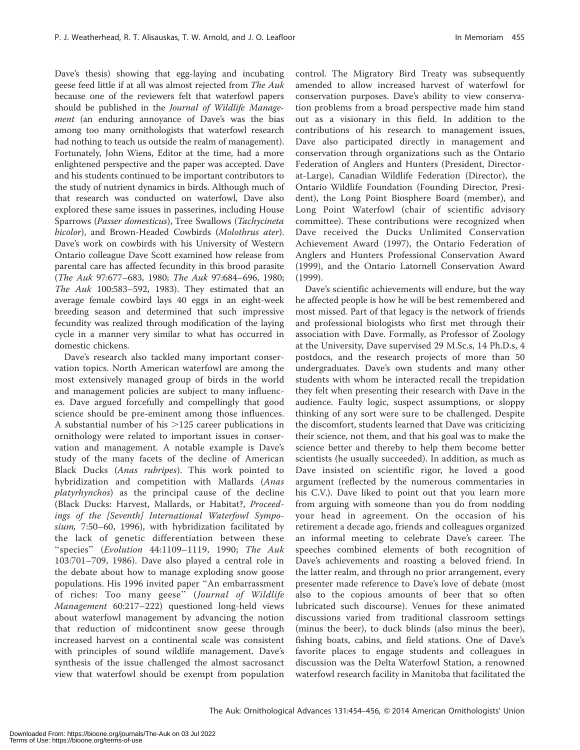Dave's thesis) showing that egg-laying and incubating geese feed little if at all was almost rejected from The Auk because one of the reviewers felt that waterfowl papers should be published in the Journal of Wildlife Management (an enduring annoyance of Dave's was the bias among too many ornithologists that waterfowl research had nothing to teach us outside the realm of management). Fortunately, John Wiens, Editor at the time, had a more enlightened perspective and the paper was accepted. Dave and his students continued to be important contributors to the study of nutrient dynamics in birds. Although much of that research was conducted on waterfowl, Dave also explored these same issues in passerines, including House Sparrows (Passer domesticus), Tree Swallows (Tachycineta bicolor), and Brown-Headed Cowbirds (Molothrus ater). Dave's work on cowbirds with his University of Western Ontario colleague Dave Scott examined how release from parental care has affected fecundity in this brood parasite (The Auk 97:677–683, 1980; The Auk 97:684–696, 1980; The Auk 100:583–592, 1983). They estimated that an average female cowbird lays 40 eggs in an eight-week breeding season and determined that such impressive fecundity was realized through modification of the laying cycle in a manner very similar to what has occurred in domestic chickens.

Dave's research also tackled many important conservation topics. North American waterfowl are among the most extensively managed group of birds in the world and management policies are subject to many influences. Dave argued forcefully and compellingly that good science should be pre-eminent among those influences. A substantial number of his  $>125$  career publications in ornithology were related to important issues in conservation and management. A notable example is Dave's study of the many facets of the decline of American Black Ducks (Anas rubripes). This work pointed to hybridization and competition with Mallards (Anas platyrhynchos) as the principal cause of the decline (Black Ducks: Harvest, Mallards, or Habitat?, Proceedings of the [Seventh] International Waterfowl Symposium, 7:50–60, 1996), with hybridization facilitated by the lack of genetic differentiation between these ''species'' (Evolution 44:1109–1119, 1990; The Auk 103:701–709, 1986). Dave also played a central role in the debate about how to manage exploding snow goose populations. His 1996 invited paper ''An embarrassment of riches: Too many geese'' (Journal of Wildlife Management 60:217–222) questioned long-held views about waterfowl management by advancing the notion that reduction of midcontinent snow geese through increased harvest on a continental scale was consistent with principles of sound wildlife management. Dave's synthesis of the issue challenged the almost sacrosanct view that waterfowl should be exempt from population

control. The Migratory Bird Treaty was subsequently amended to allow increased harvest of waterfowl for conservation purposes. Dave's ability to view conservation problems from a broad perspective made him stand out as a visionary in this field. In addition to the contributions of his research to management issues, Dave also participated directly in management and conservation through organizations such as the Ontario Federation of Anglers and Hunters (President, Directorat-Large), Canadian Wildlife Federation (Director), the Ontario Wildlife Foundation (Founding Director, President), the Long Point Biosphere Board (member), and Long Point Waterfowl (chair of scientific advisory committee). These contributions were recognized when Dave received the Ducks Unlimited Conservation Achievement Award (1997), the Ontario Federation of Anglers and Hunters Professional Conservation Award (1999), and the Ontario Latornell Conservation Award (1999).

Dave's scientific achievements will endure, but the way he affected people is how he will be best remembered and most missed. Part of that legacy is the network of friends and professional biologists who first met through their association with Dave. Formally, as Professor of Zoology at the University, Dave supervised 29 M.Sc.s, 14 Ph.D.s, 4 postdocs, and the research projects of more than 50 undergraduates. Dave's own students and many other students with whom he interacted recall the trepidation they felt when presenting their research with Dave in the audience. Faulty logic, suspect assumptions, or sloppy thinking of any sort were sure to be challenged. Despite the discomfort, students learned that Dave was criticizing their science, not them, and that his goal was to make the science better and thereby to help them become better scientists (he usually succeeded). In addition, as much as Dave insisted on scientific rigor, he loved a good argument (reflected by the numerous commentaries in his C.V.). Dave liked to point out that you learn more from arguing with someone than you do from nodding your head in agreement. On the occasion of his retirement a decade ago, friends and colleagues organized an informal meeting to celebrate Dave's career. The speeches combined elements of both recognition of Dave's achievements and roasting a beloved friend. In the latter realm, and through no prior arrangement, every presenter made reference to Dave's love of debate (most also to the copious amounts of beer that so often lubricated such discourse). Venues for these animated discussions varied from traditional classroom settings (minus the beer), to duck blinds (also minus the beer), fishing boats, cabins, and field stations. One of Dave's favorite places to engage students and colleagues in discussion was the Delta Waterfowl Station, a renowned waterfowl research facility in Manitoba that facilitated the